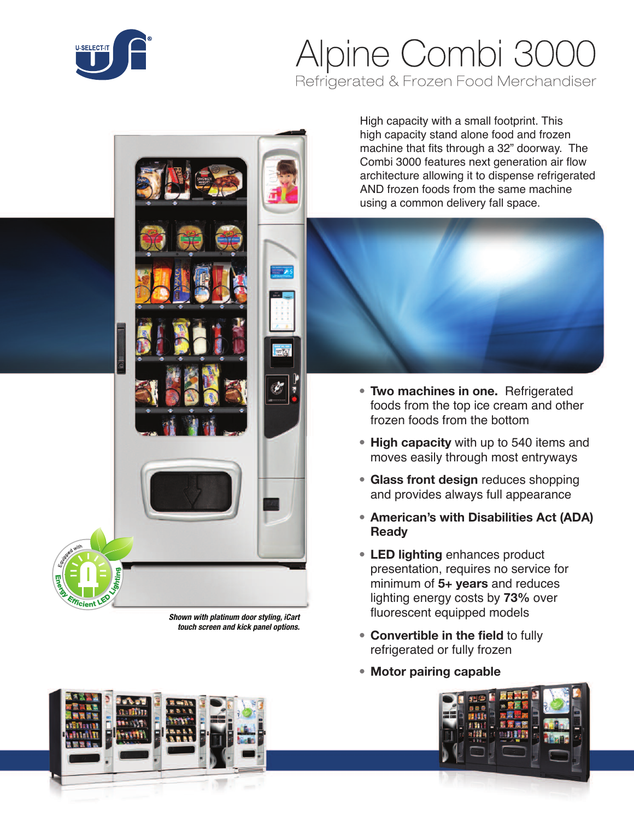

# Alpine Combi 3000 Refrigerated & Frozen Food Merchandiser

*Shown with platinum door styling, iCart touch screen and kick panel options.*

High capacity with a small footprint. This high capacity stand alone food and frozen machine that fits through a 32" doorway. The Combi 3000 features next generation air flow architecture allowing it to dispense refrigerated AND frozen foods from the same machine using a common delivery fall space.



- **• Two machines in one.** Refrigerated foods from the top ice cream and other frozen foods from the bottom
- **• High capacity** with up to 540 items and moves easily through most entryways
- **• Glass front design** reduces shopping and provides always full appearance
- **• American's with Disabilities Act (ADA) Ready**
- **• LED lighting** enhances product presentation, requires no service for minimum of **5+ years** and reduces lighting energy costs by **73%** over fluorescent equipped models
- **• Convertible in the field** to fully refrigerated or fully frozen
- **• Motor pairing capable**